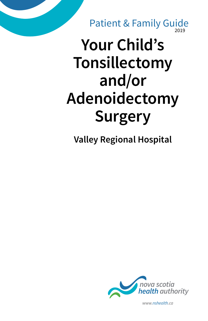2019 Patient & Family Guide

# **Your Child's Tonsillectomy and/or Adenoidectomy Surgery**

**Valley Regional Hospital**



*www.nshealth.ca*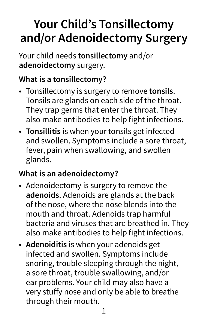## **Your Child's Tonsillectomy and/or Adenoidectomy Surgery**

Your child needs **tonsillectomy** and/or **adenoidectomy** surgery.

#### **What is a tonsillectomy?**

- Tonsillectomy is surgery to remove **tonsils**. Tonsils are glands on each side of the throat. They trap germs that enter the throat. They also make antibodies to help fight infections.
- **Tonsillitis** is when your tonsils get infected and swollen. Symptoms include a sore throat, fever, pain when swallowing, and swollen glands.

#### **What is an adenoidectomy?**

- Adenoidectomy is surgery to remove the **adenoids**. Adenoids are glands at the back of the nose, where the nose blends into the mouth and throat. Adenoids trap harmful bacteria and viruses that are breathed in. They also make antibodies to help fight infections.
- **Adenoiditis** is when your adenoids get infected and swollen. Symptoms include snoring, trouble sleeping through the night, a sore throat, trouble swallowing, and/or ear problems. Your child may also have a very stuffy nose and only be able to breathe through their mouth.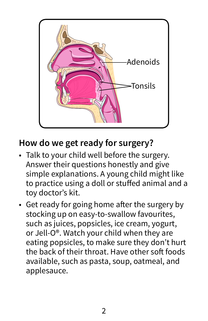

#### **How do we get ready for surgery?**

- Talk to your child well before the surgery. Answer their questions honestly and give simple explanations. A young child might like to practice using a doll or stuffed animal and a toy doctor's kit.
- Get ready for going home after the surgery by stocking up on easy-to-swallow favourites, such as juices, popsicles, ice cream, yogurt, or Jell-O®. Watch your child when they are eating popsicles, to make sure they don't hurt the back of their throat. Have other soft foods available, such as pasta, soup, oatmeal, and applesauce.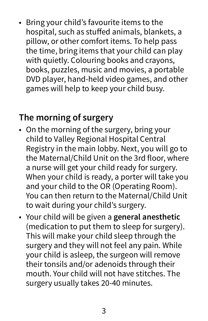• Bring your child's favourite items to the hospital, such as stuffed animals, blankets, a pillow, or other comfort items. To help pass the time, bring items that your child can play with quietly. Colouring books and crayons, books, puzzles, music and movies, a portable DVD player, hand-held video games, and other games will help to keep your child busy.

#### **The morning of surgery**

- On the morning of the surgery, bring your child to Valley Regional Hospital Central Registry in the main lobby. Next, you will go to the Maternal/Child Unit on the 3rd floor, where a nurse will get your child ready for surgery. When your child is ready, a porter will take you and your child to the OR (Operating Room). You can then return to the Maternal/Child Unit to wait during your child's surgery.
- Your child will be given a **general anesthetic** (medication to put them to sleep for surgery). This will make your child sleep through the surgery and they will not feel any pain. While your child is asleep, the surgeon will remove their tonsils and/or adenoids through their mouth. Your child will not have stitches. The surgery usually takes 20-40 minutes.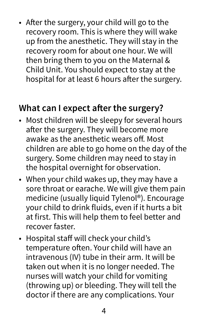• After the surgery, your child will go to the recovery room. This is where they will wake up from the anesthetic. They will stay in the recovery room for about one hour. We will then bring them to you on the Maternal & Child Unit. You should expect to stay at the hospital for at least 6 hours after the surgery.

#### **What can I expect after the surgery?**

- Most children will be sleepy for several hours after the surgery. They will become more awake as the anesthetic wears off. Most children are able to go home on the day of the surgery. Some children may need to stay in the hospital overnight for observation.
- When your child wakes up, they may have a sore throat or earache. We will give them pain medicine (usually liquid Tylenol®). Encourage your child to drink fluids, even if it hurts a bit at first. This will help them to feel better and recover faster.
- Hospital staff will check your child's temperature often. Your child will have an intravenous (IV) tube in their arm. It will be taken out when it is no longer needed. The nurses will watch your child for vomiting (throwing up) or bleeding. They will tell the doctor if there are any complications. Your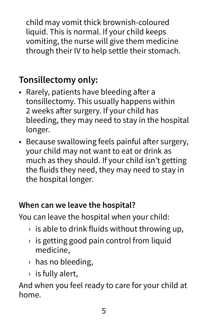child may vomit thick brownish-coloured liquid. This is normal. If your child keeps vomiting, the nurse will give them medicine through their IV to help settle their stomach.

### **Tonsillectomy only:**

- Rarely, patients have bleeding after a tonsillectomy. This usually happens within 2 weeks after surgery. If your child has bleeding, they may need to stay in the hospital longer.
- Because swallowing feels painful after surgery, your child may not want to eat or drink as much as they should. If your child isn't getting the fluids they need, they may need to stay in the hospital longer.

#### **When can we leave the hospital?**

You can leave the hospital when your child:

- $\rightarrow$  is able to drink fluids without throwing up,
- $\rightarrow$  is getting good pain control from liquid medicine,
- › has no bleeding,
- $\rightarrow$  is fully alert,

And when you feel ready to care for your child at home.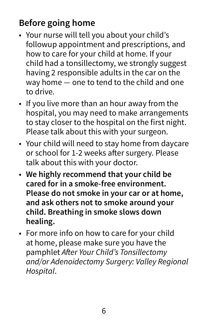#### **Before going home**

- Your nurse will tell you about your child's followup appointment and prescriptions, and how to care for your child at home. If your child had a tonsillectomy, we strongly suggest having 2 responsible adults in the car on the way home — one to tend to the child and one to drive.
- If you live more than an hour away from the hospital, you may need to make arrangements to stay closer to the hospital on the first night. Please talk about this with your surgeon.
- Your child will need to stay home from daycare or school for 1-2 weeks after surgery. Please talk about this with your doctor.
- **We highly recommend that your child be cared for in a smoke-free environment. Please do not smoke in your car or at home, and ask others not to smoke around your child. Breathing in smoke slows down healing.**
- For more info on how to care for your child at home, please make sure you have the pamphlet After Your Child's Tonsillectomy and/or Adenoidectomy Surgery: Valley Regional Hospital.